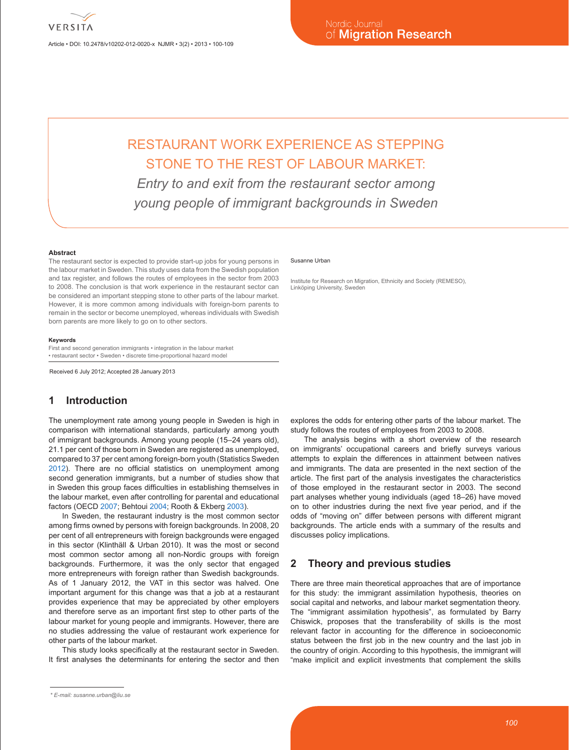Article • DOI: 10.2478/v10202-012-0020-x NJMR • 3(2) • 2013 • 100-109

# RESTAURANT WORK EXPERIENCE AS STEPPING STONE TO THE REST OF LABOUR MARKET: *Entry to and exit from the restaurant sector among*

*young people of immigrant backgrounds in Sweden*

#### **Abstract**

The restaurant sector is expected to provide start-up jobs for young persons in the labour market in Sweden. This study uses data from the Swedish population and tax register, and follows the routes of employees in the sector from 2003 to 2008. The conclusion is that work experience in the restaurant sector can be considered an important stepping stone to other parts of the labour market. However, it is more common among individuals with foreign-born parents to remain in the sector or become unemployed, whereas individuals with Swedish born parents are more likely to go on to other sectors.

#### **Keywords**

First and second generation immigrants • integration in the labour market • restaurant sector • Sweden • discrete time-proportional hazard model

Received 6 July 2012; Accepted 28 January 2013

#### **1 Introduction**

The unemployment rate among young people in Sweden is high in comparison with international standards, particularly among youth of immigrant backgrounds. Among young people (15–24 years old), 21.1 per cent of those born in Sweden are registered as unemployed, compared to 37 per cent among foreign-born youth (Statistics Sweden 2012). There are no official statistics on unemployment among second generation immigrants, but a number of studies show that in Sweden this group faces difficulties in establishing themselves in the labour market, even after controlling for parental and educational factors (OECD 2007; Behtoui 2004; Rooth & Ekberg 2003).

In Sweden, the restaurant industry is the most common sector among firms owned by persons with foreign backgrounds. In 2008, 20 per cent of all entrepreneurs with foreign backgrounds were engaged in this sector (Klinthäll & Urban 2010). It was the most or second most common sector among all non-Nordic groups with foreign backgrounds. Furthermore, it was the only sector that engaged more entrepreneurs with foreign rather than Swedish backgrounds. As of 1 January 2012, the VAT in this sector was halved. One important argument for this change was that a job at a restaurant provides experience that may be appreciated by other employers and therefore serve as an important first step to other parts of the labour market for young people and immigrants. However, there are no studies addressing the value of restaurant work experience for other parts of the labour market.

This study looks specifically at the restaurant sector in Sweden. It first analyses the determinants for entering the sector and then

#### Susanne Urban

Institute for Research on Migration, Ethnicity and Society (REMESO), Linköping University, Sweden

explores the odds for entering other parts of the labour market. The study follows the routes of employees from 2003 to 2008.

The analysis begins with a short overview of the research on immigrants' occupational careers and briefly surveys various attempts to explain the differences in attainment between natives and immigrants. The data are presented in the next section of the article. The first part of the analysis investigates the characteristics of those employed in the restaurant sector in 2003. The second part analyses whether young individuals (aged 18–26) have moved on to other industries during the next five year period, and if the odds of "moving on" differ between persons with different migrant backgrounds. The article ends with a summary of the results and discusses policy implications.

# **2 Theory and previous studies**

There are three main theoretical approaches that are of importance for this study: the immigrant assimilation hypothesis, theories on social capital and networks, and labour market segmentation theory. The "immigrant assimilation hypothesis", as formulated by Barry Chiswick, proposes that the transferability of skills is the most relevant factor in accounting for the difference in socioeconomic status between the first job in the new country and the last job in the country of origin. According to this hypothesis, the immigrant will "make implicit and explicit investments that complement the skills

*<sup>\*</sup> E-mail: susanne.urban@liu.se*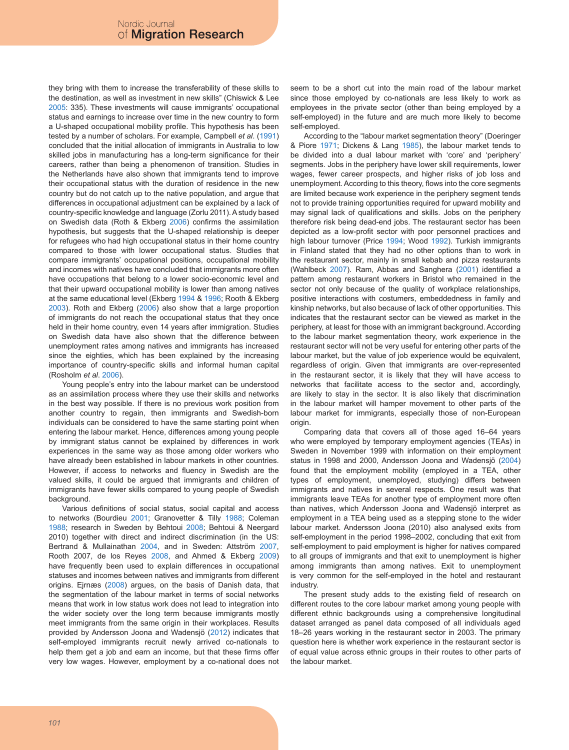they bring with them to increase the transferability of these skills to the destination, as well as investment in new skills" (Chiswick & Lee 2005: 335). These investments will cause immigrants' occupational status and earnings to increase over time in the new country to form a U-shaped occupational mobility profile. This hypothesis has been tested by a number of scholars. For example, Campbell *et al*. (1991) concluded that the initial allocation of immigrants in Australia to low skilled jobs in manufacturing has a long-term significance for their careers, rather than being a phenomenon of transition. Studies in the Netherlands have also shown that immigrants tend to improve their occupational status with the duration of residence in the new country but do not catch up to the native population, and argue that differences in occupational adjustment can be explained by a lack of country-specific knowledge and language (Zorlu 2011). A study based on Swedish data (Roth & Ekberg 2006) confirms the assimilation hypothesis, but suggests that the U-shaped relationship is deeper for refugees who had high occupational status in their home country compared to those with lower occupational status. Studies that compare immigrants' occupational positions, occupational mobility and incomes with natives have concluded that immigrants more often have occupations that belong to a lower socio-economic level and that their upward occupational mobility is lower than among natives at the same educational level (Ekberg 1994 & 1996; Rooth & Ekberg 2003). Roth and Ekberg (2006) also show that a large proportion of immigrants do not reach the occupational status that they once held in their home country, even 14 years after immigration. Studies on Swedish data have also shown that the difference between unemployment rates among natives and immigrants has increased since the eighties, which has been explained by the increasing importance of country-specific skills and informal human capital (Rosholm *et al*. 2006).

Young people's entry into the labour market can be understood as an assimilation process where they use their skills and networks in the best way possible. If there is no previous work position from another country to regain, then immigrants and Swedish-born individuals can be considered to have the same starting point when entering the labour market. Hence, differences among young people by immigrant status cannot be explained by differences in work experiences in the same way as those among older workers who have already been established in labour markets in other countries. However, if access to networks and fluency in Swedish are the valued skills, it could be argued that immigrants and children of immigrants have fewer skills compared to young people of Swedish background.

Various definitions of social status, social capital and access to networks (Bourdieu 2001; Granovetter & Tilly 1988; Coleman 1988; research in Sweden by Behtoui 2008; Behtoui & Neergard 2010) together with direct and indirect discrimination (in the US: Bertrand & Mullainathan 2004, and in Sweden: Attström 2007, Rooth 2007, de los Reyes 2008, and Ahmed & Ekberg 2009) have frequently been used to explain differences in occupational statuses and incomes between natives and immigrants from different origins. Ejrnæs (2008) argues, on the basis of Danish data, that the segmentation of the labour market in terms of social networks means that work in low status work does not lead to integration into the wider society over the long term because immigrants mostly meet immigrants from the same origin in their workplaces. Results provided by Andersson Joona and Wadensjö (2012) indicates that self-employed immigrants recruit newly arrived co-nationals to help them get a job and earn an income, but that these firms offer very low wages. However, employment by a co-national does not

seem to be a short cut into the main road of the labour market since those employed by co-nationals are less likely to work as employees in the private sector (other than being employed by a self-employed) in the future and are much more likely to become self-employed.

According to the "labour market segmentation theory" (Doeringer & Piore 1971; Dickens & Lang 1985), the labour market tends to be divided into a dual labour market with 'core' and 'periphery' segments. Jobs in the periphery have lower skill requirements, lower wages, fewer career prospects, and higher risks of job loss and unemployment. According to this theory, flows into the core segments are limited because work experience in the periphery segment tends not to provide training opportunities required for upward mobility and may signal lack of qualifications and skills. Jobs on the periphery therefore risk being dead-end jobs. The restaurant sector has been depicted as a low-profit sector with poor personnel practices and high labour turnover (Price 1994; Wood 1992). Turkish immigrants in Finland stated that they had no other options than to work in the restaurant sector, mainly in small kebab and pizza restaurants (Wahlbeck 2007). Ram, Abbas and Sanghera (2001) identified a pattern among restaurant workers in Bristol who remained in the sector not only because of the quality of workplace relationships, positive interactions with costumers, embeddedness in family and kinship networks, but also because of lack of other opportunities. This indicates that the restaurant sector can be viewed as market in the periphery, at least for those with an immigrant background. According to the labour market segmentation theory, work experience in the restaurant sector will not be very useful for entering other parts of the labour market, but the value of job experience would be equivalent, regardless of origin. Given that immigrants are over-represented in the restaurant sector, it is likely that they will have access to networks that facilitate access to the sector and, accordingly, are likely to stay in the sector. It is also likely that discrimination in the labour market will hamper movement to other parts of the labour market for immigrants, especially those of non-European origin.

Comparing data that covers all of those aged 16–64 years who were employed by temporary employment agencies (TEAs) in Sweden in November 1999 with information on their employment status in 1998 and 2000, Andersson Joona and Wadensjö (2004) found that the employment mobility (employed in a TEA, other types of employment, unemployed, studying) differs between immigrants and natives in several respects. One result was that immigrants leave TEAs for another type of employment more often than natives, which Andersson Joona and Wadensjö interpret as employment in a TEA being used as a stepping stone to the wider labour market. Andersson Joona (2010) also analysed exits from self-employment in the period 1998–2002, concluding that exit from self-employment to paid employment is higher for natives compared to all groups of immigrants and that exit to unemployment is higher among immigrants than among natives. Exit to unemployment is very common for the self-employed in the hotel and restaurant industry.

The present study adds to the existing field of research on different routes to the core labour market among young people with different ethnic backgrounds using a comprehensive longitudinal dataset arranged as panel data composed of all individuals aged 18–26 years working in the restaurant sector in 2003. The primary question here is whether work experience in the restaurant sector is of equal value across ethnic groups in their routes to other parts of the labour market.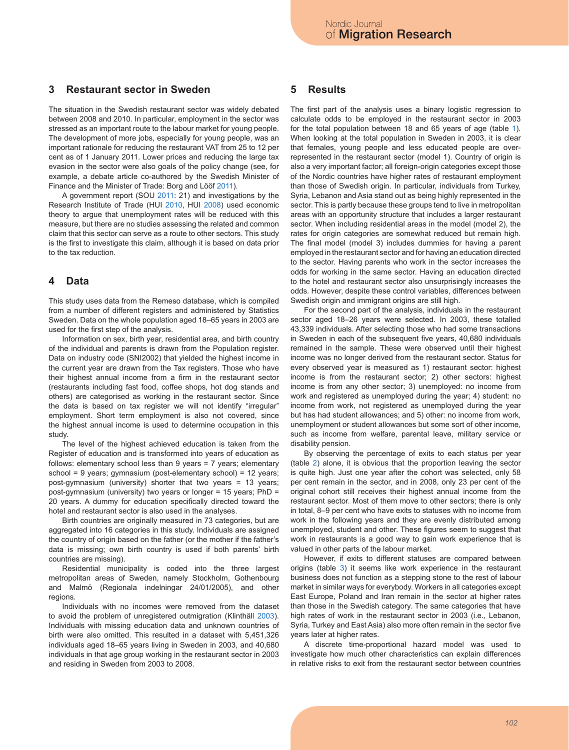# **3 Restaurant sector in Sweden**

The situation in the Swedish restaurant sector was widely debated between 2008 and 2010. In particular, employment in the sector was stressed as an important route to the labour market for young people. The development of more jobs, especially for young people, was an important rationale for reducing the restaurant VAT from 25 to 12 per cent as of 1 January 2011. Lower prices and reducing the large tax evasion in the sector were also goals of the policy change (see, for example, a debate article co-authored by the Swedish Minister of Finance and the Minister of Trade: Borg and Lööf 2011).

A government report (SOU 2011: 21) and investigations by the Research Institute of Trade (HUI 2010, HUI 2008) used economic theory to argue that unemployment rates will be reduced with this measure, but there are no studies assessing the related and common claim that this sector can serve as a route to other sectors. This study is the first to investigate this claim, although it is based on data prior to the tax reduction.

#### **4 Data**

This study uses data from the Remeso database, which is compiled from a number of different registers and administered by Statistics Sweden. Data on the whole population aged 18–65 years in 2003 are used for the first step of the analysis.

Information on sex, birth year, residential area, and birth country of the individual and parents is drawn from the Population register. Data on industry code (SNI2002) that yielded the highest income in the current year are drawn from the Tax registers. Those who have their highest annual income from a firm in the restaurant sector (restaurants including fast food, coffee shops, hot dog stands and others) are categorised as working in the restaurant sector. Since the data is based on tax register we will not identify "irregular" employment. Short term employment is also not covered, since the highest annual income is used to determine occupation in this study.

The level of the highest achieved education is taken from the Register of education and is transformed into years of education as follows: elementary school less than 9 years = 7 years; elementary school = 9 years; gymnasium (post-elementary school) = 12 years; post-gymnasium (university) shorter that two years = 13 years; post-gymnasium (university) two years or longer = 15 years; PhD = 20 years. A dummy for education specifically directed toward the hotel and restaurant sector is also used in the analyses.

Birth countries are originally measured in 73 categories, but are aggregated into 16 categories in this study. Individuals are assigned the country of origin based on the father (or the mother if the father's data is missing; own birth country is used if both parents' birth countries are missing).

Residential municipality is coded into the three largest metropolitan areas of Sweden, namely Stockholm, Gothenbourg and Malmö (Regionala indelningar 24/01/2005), and other regions.

Individuals with no incomes were removed from the dataset to avoid the problem of unregistered outmigration (Klinthäll 2003). Individuals with missing education data and unknown countries of birth were also omitted. This resulted in a dataset with 5,451,326 individuals aged 18–65 years living in Sweden in 2003, and 40,680 individuals in that age group working in the restaurant sector in 2003 and residing in Sweden from 2003 to 2008.

#### **5 Results**

The first part of the analysis uses a binary logistic regression to calculate odds to be employed in the restaurant sector in 2003 for the total population between 18 and 65 years of age (table 1). When looking at the total population in Sweden in 2003, it is clear that females, young people and less educated people are overrepresented in the restaurant sector (model 1). Country of origin is also a very important factor; all foreign-origin categories except those of the Nordic countries have higher rates of restaurant employment than those of Swedish origin. In particular, individuals from Turkey, Syria, Lebanon and Asia stand out as being highly represented in the sector. This is partly because these groups tend to live in metropolitan areas with an opportunity structure that includes a larger restaurant sector. When including residential areas in the model (model 2), the rates for origin categories are somewhat reduced but remain high. The final model (model 3) includes dummies for having a parent employed in the restaurant sector and for having an education directed to the sector. Having parents who work in the sector increases the odds for working in the same sector. Having an education directed to the hotel and restaurant sector also unsurprisingly increases the odds. However, despite these control variables, differences between Swedish origin and immigrant origins are still high.

For the second part of the analysis, individuals in the restaurant sector aged 18–26 years were selected. In 2003, these totalled 43,339 individuals. After selecting those who had some transactions in Sweden in each of the subsequent five years, 40,680 individuals remained in the sample. These were observed until their highest income was no longer derived from the restaurant sector. Status for every observed year is measured as 1) restaurant sector: highest income is from the restaurant sector; 2) other sectors: highest income is from any other sector; 3) unemployed: no income from work and registered as unemployed during the year; 4) student: no income from work, not registered as unemployed during the year but has had student allowances; and 5) other: no income from work, unemployment or student allowances but some sort of other income, such as income from welfare, parental leave, military service or disability pension.

By observing the percentage of exits to each status per year (table 2) alone, it is obvious that the proportion leaving the sector is quite high. Just one year after the cohort was selected, only 58 per cent remain in the sector, and in 2008, only 23 per cent of the original cohort still receives their highest annual income from the restaurant sector. Most of them move to other sectors; there is only in total, 8–9 per cent who have exits to statuses with no income from work in the following years and they are evenly distributed among unemployed, student and other. These figures seem to suggest that work in restaurants is a good way to gain work experience that is valued in other parts of the labour market.

However, if exits to different statuses are compared between origins (table 3) it seems like work experience in the restaurant business does not function as a stepping stone to the rest of labour market in similar ways for everybody. Workers in all categories except East Europe, Poland and Iran remain in the sector at higher rates than those in the Swedish category. The same categories that have high rates of work in the restaurant sector in 2003 (i.e., Lebanon, Syria, Turkey and East Asia) also more often remain in the sector five years later at higher rates.

A discrete time-proportional hazard model was used to investigate how much other characteristics can explain differences in relative risks to exit from the restaurant sector between countries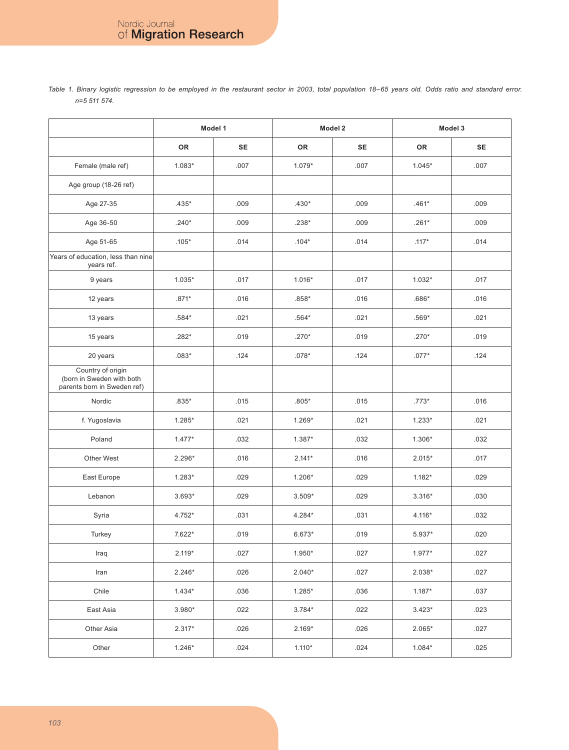|                                                                               | Model 1   |           |          | Model 2   | Model 3   |           |  |
|-------------------------------------------------------------------------------|-----------|-----------|----------|-----------|-----------|-----------|--|
|                                                                               | <b>OR</b> | <b>SE</b> | OR       | <b>SE</b> | <b>OR</b> | <b>SE</b> |  |
| Female (male ref)                                                             | $1.083*$  | .007      | $1.079*$ | .007      | $1.045*$  | .007      |  |
| Age group (18-26 ref)                                                         |           |           |          |           |           |           |  |
| Age 27-35                                                                     | .435*     | .009      | $.430*$  | .009      | $.461*$   | .009      |  |
| Age 36-50                                                                     | $.240*$   | .009      | .238*    | .009      | $.261*$   | .009      |  |
| Age 51-65                                                                     | $.105*$   | .014      | $.104*$  | .014      | $.117*$   | .014      |  |
| Years of education, less than nine<br>years ref.                              |           |           |          |           |           |           |  |
| 9 years                                                                       | $1.035*$  | .017      | $1.016*$ | .017      | $1.032*$  | .017      |  |
| 12 years                                                                      | $.871*$   | .016      | $.858*$  | .016      | $.686*$   | .016      |  |
| 13 years                                                                      | .584*     | .021      | $.564*$  | .021      | $.569*$   | .021      |  |
| 15 years                                                                      | .282*     | .019      | $.270*$  | .019      | $.270*$   | .019      |  |
| 20 years                                                                      | $.083*$   | .124      | $.078*$  | .124      | $.077*$   | .124      |  |
| Country of origin<br>(born in Sweden with both<br>parents born in Sweden ref) |           |           |          |           |           |           |  |
| Nordic                                                                        | $.835*$   | .015      | $.805*$  | .015      |           | .016      |  |
| f. Yugoslavia                                                                 | $1.285*$  | .021      | $1.269*$ | .021      | $1.233*$  | .021      |  |
| Poland                                                                        | $1.477*$  | .032      | 1.387*   | .032      | 1.306*    | .032      |  |
| Other West                                                                    | $2.296*$  | .016      | $2.141*$ | .016      | $2.015*$  | .017      |  |
| East Europe                                                                   | $1.283*$  | .029      | $1.206*$ | .029      | $1.182*$  | .029      |  |
| Lebanon                                                                       | $3.693*$  | .029      | $3.509*$ | .029      | $3.316*$  | .030      |  |
| Syria                                                                         | 4.752*    | .031      | 4.284*   | .031      | 4.116*    | .032      |  |
| Turkey                                                                        | 7.622*    | .019      | $6.673*$ | .019      | 5.937*    | .020      |  |
| Iraq                                                                          | $2.119*$  | .027      | $1.950*$ | .027      | $1.977*$  | .027      |  |
| Iran                                                                          | $2.246*$  | .026      | $2.040*$ | .027      | 2.038*    | .027      |  |
| Chile                                                                         | $1.434*$  | .036      | $1.285*$ | .036      | $1.187*$  | .037      |  |
| East Asia                                                                     | $3.980*$  | .022      | $3.784*$ | .022      | $3.423*$  | .023      |  |
| Other Asia                                                                    | $2.317*$  | .026      | $2.169*$ | .026      | 2.065*    | .027      |  |
| Other                                                                         | $1.246*$  | .024      | $1.110*$ | .024      | $1.084*$  | .025      |  |

*Table 1. Binary logistic regression to be employed in the restaurant sector in 2003, total population 18–65 years old. Odds ratio and standard error. n=5 511 574.*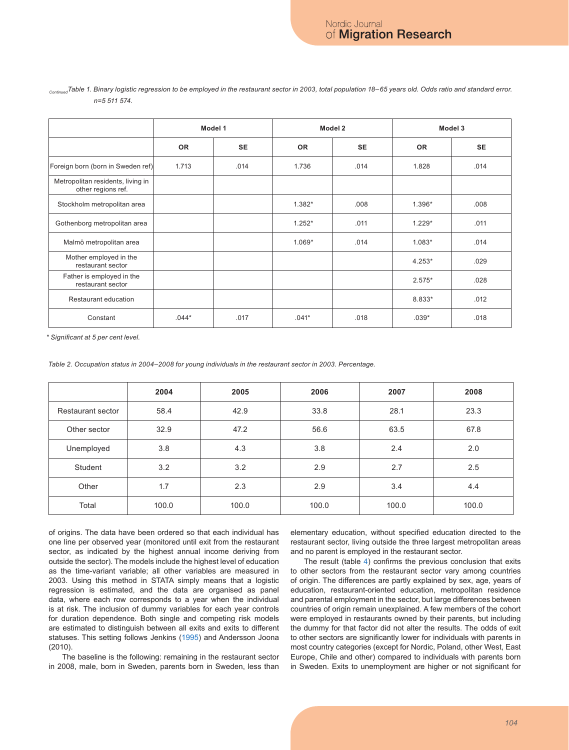|                                                         | Model 1   |           |           | Model 2   | Model 3   |           |  |
|---------------------------------------------------------|-----------|-----------|-----------|-----------|-----------|-----------|--|
|                                                         | <b>OR</b> | <b>SE</b> | <b>OR</b> | <b>SE</b> | <b>OR</b> | <b>SE</b> |  |
| Foreign born (born in Sweden ref)                       | 1.713     | .014      | 1.736     | .014      | 1.828     | .014      |  |
| Metropolitan residents, living in<br>other regions ref. |           |           |           |           |           |           |  |
| Stockholm metropolitan area                             |           |           | $1.382*$  | .008      | $1.396*$  | .008      |  |
| Gothenborg metropolitan area                            |           |           | $1.252*$  | .011      | $1.229*$  | .011      |  |
| Malmö metropolitan area                                 |           |           | $1.069*$  | .014      | $1.083*$  | .014      |  |
| Mother employed in the<br>restaurant sector             |           |           |           |           | $4.253*$  | .029      |  |
| Father is employed in the<br>restaurant sector          |           |           |           |           | $2.575*$  | .028      |  |
| Restaurant education                                    |           |           |           |           | 8.833*    | .012      |  |
| Constant                                                | $.044*$   | .017      | $.041*$   | .018      | $.039*$   | .018      |  |

#### *ContinuedTable 1. Binary logistic regression to be employed in the restaurant sector in 2003, total population 18–65 years old. Odds ratio and standard error. n=5 511 574.*

*\* Significant at 5 per cent level.*

*Table 2. Occupation status in 2004–2008 for young individuals in the restaurant sector in 2003. Percentage.*

|                   | 2004  | 2005  | 2006  | 2007  | 2008  |
|-------------------|-------|-------|-------|-------|-------|
| Restaurant sector | 58.4  | 42.9  | 33.8  | 28.1  | 23.3  |
| Other sector      | 32.9  | 47.2  | 56.6  | 63.5  | 67.8  |
| Unemployed        | 3.8   | 4.3   | 3.8   | 2.4   | 2.0   |
| Student           | 3.2   | 3.2   | 2.9   | 2.7   | 2.5   |
| Other             | 1.7   | 2.3   | 2.9   | 3.4   | 4.4   |
| Total             | 100.0 | 100.0 | 100.0 | 100.0 | 100.0 |

of origins. The data have been ordered so that each individual has one line per observed year (monitored until exit from the restaurant sector, as indicated by the highest annual income deriving from outside the sector). The models include the highest level of education as the time-variant variable; all other variables are measured in 2003. Using this method in STATA simply means that a logistic regression is estimated, and the data are organised as panel data, where each row corresponds to a year when the individual is at risk. The inclusion of dummy variables for each year controls for duration dependence. Both single and competing risk models are estimated to distinguish between all exits and exits to different statuses. This setting follows Jenkins (1995) and Andersson Joona (2010).

The baseline is the following: remaining in the restaurant sector in 2008, male, born in Sweden, parents born in Sweden, less than elementary education, without specified education directed to the restaurant sector, living outside the three largest metropolitan areas and no parent is employed in the restaurant sector.

The result (table 4) confirms the previous conclusion that exits to other sectors from the restaurant sector vary among countries of origin. The differences are partly explained by sex, age, years of education, restaurant-oriented education, metropolitan residence and parental employment in the sector, but large differences between countries of origin remain unexplained. A few members of the cohort were employed in restaurants owned by their parents, but including the dummy for that factor did not alter the results. The odds of exit to other sectors are significantly lower for individuals with parents in most country categories (except for Nordic, Poland, other West, East Europe, Chile and other) compared to individuals with parents born in Sweden. Exits to unemployment are higher or not significant for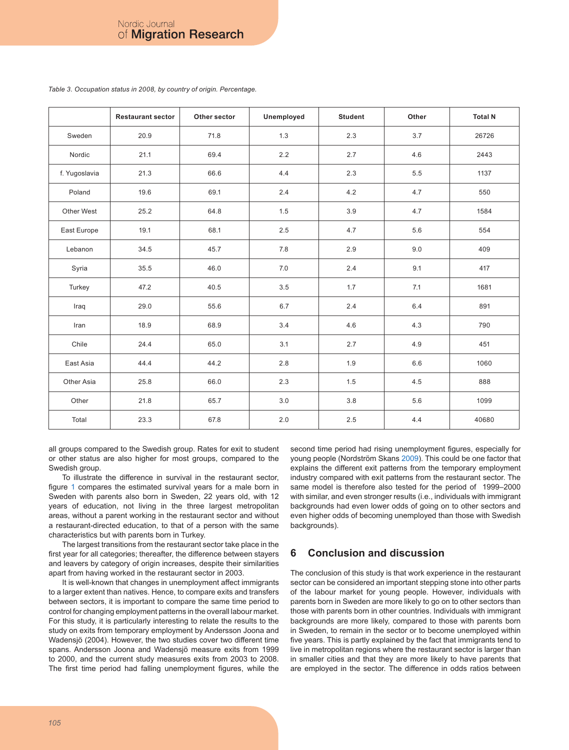|               | <b>Restaurant sector</b> | Other sector | Unemployed | <b>Student</b> | Other | <b>Total N</b> |
|---------------|--------------------------|--------------|------------|----------------|-------|----------------|
| Sweden        | 20.9                     | 71.8         | 1.3        | 2.3            | 3.7   | 26726          |
| Nordic        | 21.1                     | 69.4         | 2.2        | 2.7            | 4.6   | 2443           |
| f. Yugoslavia | 21.3                     | 66.6         | 4.4        | 2.3            | 5.5   | 1137           |
| Poland        | 19.6                     | 69.1         | 2.4        | 4.2            | 4.7   | 550            |
| Other West    | 25.2                     | 64.8         | 1.5        | 3.9            | 4.7   | 1584           |
| East Europe   | 19.1                     | 68.1         | 2.5        | 4.7            | 5.6   | 554            |
| Lebanon       | 34.5                     | 45.7         | 7.8        | 2.9            | 9.0   | 409            |
| Syria         | 35.5                     | 46.0         | 7.0        | 2.4            | 9.1   | 417            |
| Turkey        | 47.2                     | 40.5         | 3.5        | 1.7            | 7.1   | 1681           |
| Iraq          | 29.0                     | 55.6         | 6.7        | 2.4            | 6.4   | 891            |
| Iran          | 18.9                     | 68.9         | 3.4        | 4.6            | 4.3   | 790            |
| Chile         | 24.4                     | 65.0         | 3.1        | 2.7            | 4.9   | 451            |
| East Asia     | 44.4                     | 44.2         | 2.8        | 1.9            | 6.6   | 1060           |
| Other Asia    | 25.8                     | 66.0         | 2.3        | 1.5            | 4.5   | 888            |
| Other         | 21.8                     | 65.7         | 3.0        | 3.8            | 5.6   | 1099           |
| Total         | 23.3                     | 67.8         | 2.0        | 2.5            | 4.4   | 40680          |

*Table 3. Occupation status in 2008, by country of origin. Percentage.*

all groups compared to the Swedish group. Rates for exit to student or other status are also higher for most groups, compared to the Swedish group.

To illustrate the difference in survival in the restaurant sector, figure 1 compares the estimated survival years for a male born in Sweden with parents also born in Sweden, 22 years old, with 12 years of education, not living in the three largest metropolitan areas, without a parent working in the restaurant sector and without a restaurant-directed education, to that of a person with the same characteristics but with parents born in Turkey.

The largest transitions from the restaurant sector take place in the first year for all categories; thereafter, the difference between stayers and leavers by category of origin increases, despite their similarities apart from having worked in the restaurant sector in 2003.

It is well-known that changes in unemployment affect immigrants to a larger extent than natives. Hence, to compare exits and transfers between sectors, it is important to compare the same time period to control for changing employment patterns in the overall labour market. For this study, it is particularly interesting to relate the results to the study on exits from temporary employment by Andersson Joona and Wadensjö (2004). However, the two studies cover two different time spans. Andersson Joona and Wadensjö measure exits from 1999 to 2000, and the current study measures exits from 2003 to 2008. The first time period had falling unemployment figures, while the second time period had rising unemployment figures, especially for young people (Nordström Skans 2009). This could be one factor that explains the different exit patterns from the temporary employment industry compared with exit patterns from the restaurant sector. The same model is therefore also tested for the period of 1999–2000 with similar, and even stronger results (i.e., individuals with immigrant backgrounds had even lower odds of going on to other sectors and even higher odds of becoming unemployed than those with Swedish backgrounds).

# **6 Conclusion and discussion**

The conclusion of this study is that work experience in the restaurant sector can be considered an important stepping stone into other parts of the labour market for young people. However, individuals with parents born in Sweden are more likely to go on to other sectors than those with parents born in other countries. Individuals with immigrant backgrounds are more likely, compared to those with parents born in Sweden, to remain in the sector or to become unemployed within five years. This is partly explained by the fact that immigrants tend to live in metropolitan regions where the restaurant sector is larger than in smaller cities and that they are more likely to have parents that are employed in the sector. The difference in odds ratios between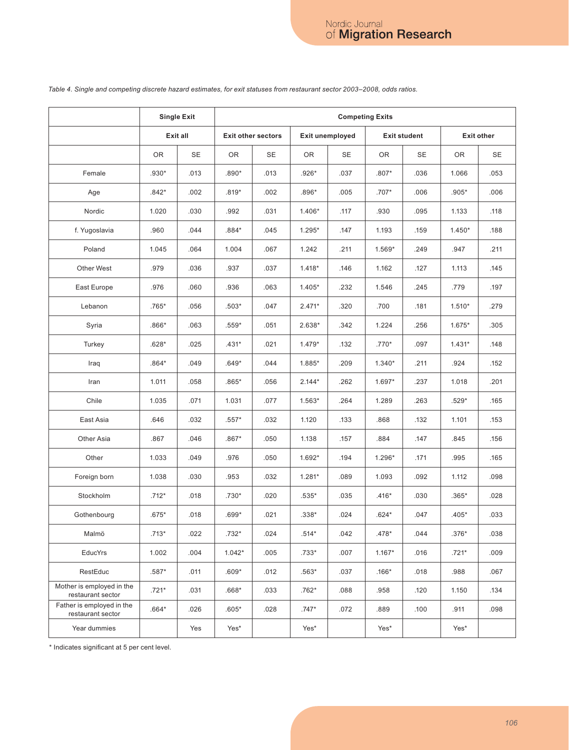|                                                | <b>Single Exit</b> |      | <b>Competing Exits</b>    |      |                 |      |                     |                   |          |      |
|------------------------------------------------|--------------------|------|---------------------------|------|-----------------|------|---------------------|-------------------|----------|------|
|                                                | Exit all           |      | <b>Exit other sectors</b> |      | Exit unemployed |      | <b>Exit student</b> | <b>Exit other</b> |          |      |
|                                                | 0R                 | SE   | 0R                        | SE   | OR              | SE   | 0R                  | SE                | 0R       | SE   |
| Female                                         | .930*              | .013 | $.890*$                   | .013 | .926*           | .037 | $.807*$             | .036              | 1.066    | .053 |
| Age                                            | $.842*$            | .002 | $.819*$                   | .002 | .896*           | .005 | .707*               | .006              | $.905*$  | .006 |
| Nordic                                         | 1.020              | .030 | .992                      | .031 | $1.406*$        | .117 | .930                | .095              | 1.133    | .118 |
| f. Yugoslavia                                  | .960               | .044 | $.884*$                   | .045 | $1.295*$        | .147 | 1.193               | .159              | $1.450*$ | .188 |
| Poland                                         | 1.045              | .064 | 1.004                     | .067 | 1.242           | .211 | 1.569*              | .249              | .947     | .211 |
| Other West                                     | .979               | .036 | .937                      | .037 | $1.418*$        | .146 | 1.162               | .127              | 1.113    | .145 |
| East Europe                                    | .976               | .060 | .936                      | .063 | $1.405*$        | .232 | 1.546               | .245              | .779     | .197 |
| Lebanon                                        | .765*              | .056 | $.503*$                   | .047 | $2.471*$        | .320 | .700                | .181              | $1.510*$ | .279 |
| Syria                                          | $.866*$            | .063 | $.559*$                   | .051 | 2.638*          | .342 | 1.224               | .256              | $1.675*$ | .305 |
| Turkey                                         | $.628*$            | .025 | $.431*$                   | .021 | $1.479*$        | .132 | .770*               | .097              | $1.431*$ | .148 |
| Iraq                                           | $.864*$            | .049 | $.649*$                   | .044 | 1.885*          | .209 | $1.340*$            | .211              | .924     | .152 |
| Iran                                           | 1.011              | .058 | $.865*$                   | .056 | $2.144*$        | .262 | 1.697*              | .237              | 1.018    | .201 |
| Chile                                          | 1.035              | .071 | 1.031                     | .077 | $1.563*$        | .264 | 1.289               | .263              | .529*    | .165 |
| East Asia                                      | .646               | .032 | $.557*$                   | .032 | 1.120           | .133 | .868                | .132              | 1.101    | .153 |
| Other Asia                                     | .867               | .046 | $.867*$                   | .050 | 1.138           | .157 | .884                | .147              | .845     | .156 |
| Other                                          | 1.033              | .049 | .976                      | .050 | 1.692*          | .194 | 1.296*              | .171              | .995     | .165 |
| Foreign born                                   | 1.038              | .030 | .953                      | .032 | $1.281*$        | .089 | 1.093               | .092              | 1.112    | .098 |
| Stockholm                                      | $.712*$            | .018 | .730*                     | .020 | $.535*$         | .035 | $.416*$             | .030              | $.365*$  | .028 |
| Gothenbourg                                    | $.675*$            | .018 | .699*                     | .021 | .338*           | .024 | $.624*$             | .047              | $.405*$  | .033 |
| Malmö                                          | .713*              | .022 | .732*                     | .024 | .514*           | .042 | .478*               | .044              | .376*    | .038 |
| EducYrs                                        | 1.002              | .004 | $1.042*$                  | .005 | $.733*$         | .007 | $1.167*$            | .016              | $.721*$  | .009 |
| RestEduc                                       | .587*              | .011 | $.609*$                   | .012 | $.563*$         | .037 | $.166*$             | .018              | .988     | .067 |
| Mother is employed in the<br>restaurant sector | $.721*$            | .031 | $.668*$                   | .033 | $.762*$         | .088 | .958                | .120              | 1.150    | .134 |
| Father is employed in the<br>restaurant sector | $.664*$            | .026 | $.605*$                   | .028 | $.747*$         | .072 | .889                | .100              | .911     | .098 |
| Year dummies                                   |                    | Yes  | Yes*                      |      | Yes*            |      | Yes*                |                   | Yes*     |      |

# *Table 4. Single and competing discrete hazard estimates, for exit statuses from restaurant sector 2003–2008, odds ratios.*

\* Indicates significant at 5 per cent level.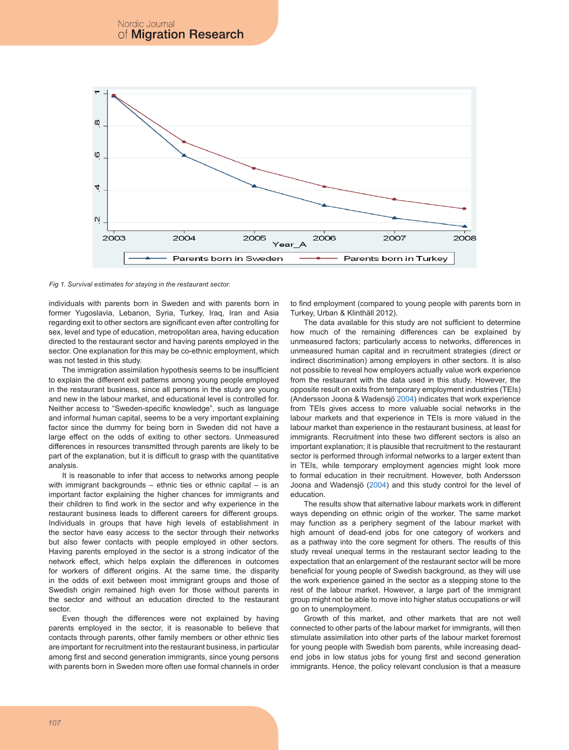

*Fig 1. Survival estimates for staying in the restaurant sector.*

individuals with parents born in Sweden and with parents born in former Yugoslavia, Lebanon, Syria, Turkey, Iraq, Iran and Asia regarding exit to other sectors are significant even after controlling for sex, level and type of education, metropolitan area, having education directed to the restaurant sector and having parents employed in the sector. One explanation for this may be co-ethnic employment, which was not tested in this study.

The immigration assimilation hypothesis seems to be insufficient to explain the different exit patterns among young people employed in the restaurant business, since all persons in the study are young and new in the labour market, and educational level is controlled for. Neither access to "Sweden-specific knowledge", such as language and informal human capital, seems to be a very important explaining factor since the dummy for being born in Sweden did not have a large effect on the odds of exiting to other sectors. Unmeasured differences in resources transmitted through parents are likely to be part of the explanation, but it is difficult to grasp with the quantitative analysis.

It is reasonable to infer that access to networks among people with immigrant backgrounds – ethnic ties or ethnic capital – is an important factor explaining the higher chances for immigrants and their children to find work in the sector and why experience in the restaurant business leads to different careers for different groups. Individuals in groups that have high levels of establishment in the sector have easy access to the sector through their networks but also fewer contacts with people employed in other sectors. Having parents employed in the sector is a strong indicator of the network effect, which helps explain the differences in outcomes for workers of different origins. At the same time, the disparity in the odds of exit between most immigrant groups and those of Swedish origin remained high even for those without parents in the sector and without an education directed to the restaurant sector.

Even though the differences were not explained by having parents employed in the sector, it is reasonable to believe that contacts through parents, other family members or other ethnic ties are important for recruitment into the restaurant business, in particular among first and second generation immigrants, since young persons with parents born in Sweden more often use formal channels in order

to find employment (compared to young people with parents born in Turkey, Urban & Klinthäll 2012).

The data available for this study are not sufficient to determine how much of the remaining differences can be explained by unmeasured factors; particularly access to networks, differences in unmeasured human capital and in recruitment strategies (direct or indirect discrimination) among employers in other sectors. It is also not possible to reveal how employers actually value work experience from the restaurant with the data used in this study. However, the opposite result on exits from temporary employment industries (TEIs) (Andersson Joona & Wadensjö 2004) indicates that work experience from TEIs gives access to more valuable social networks in the labour markets and that experience in TEIs is more valued in the labour market than experience in the restaurant business, at least for immigrants. Recruitment into these two different sectors is also an important explanation; it is plausible that recruitment to the restaurant sector is performed through informal networks to a larger extent than in TEIs, while temporary employment agencies might look more to formal education in their recruitment. However, both Andersson Joona and Wadensjö (2004) and this study control for the level of education.

The results show that alternative labour markets work in different ways depending on ethnic origin of the worker. The same market may function as a periphery segment of the labour market with high amount of dead-end jobs for one category of workers and as a pathway into the core segment for others. The results of this study reveal unequal terms in the restaurant sector leading to the expectation that an enlargement of the restaurant sector will be more beneficial for young people of Swedish background, as they will use the work experience gained in the sector as a stepping stone to the rest of the labour market. However, a large part of the immigrant group might not be able to move into higher status occupations or will go on to unemployment.

Growth of this market, and other markets that are not well connected to other parts of the labour market for immigrants, will then stimulate assimilation into other parts of the labour market foremost for young people with Swedish born parents, while increasing deadend jobs in low status jobs for young first and second generation immigrants. Hence, the policy relevant conclusion is that a measure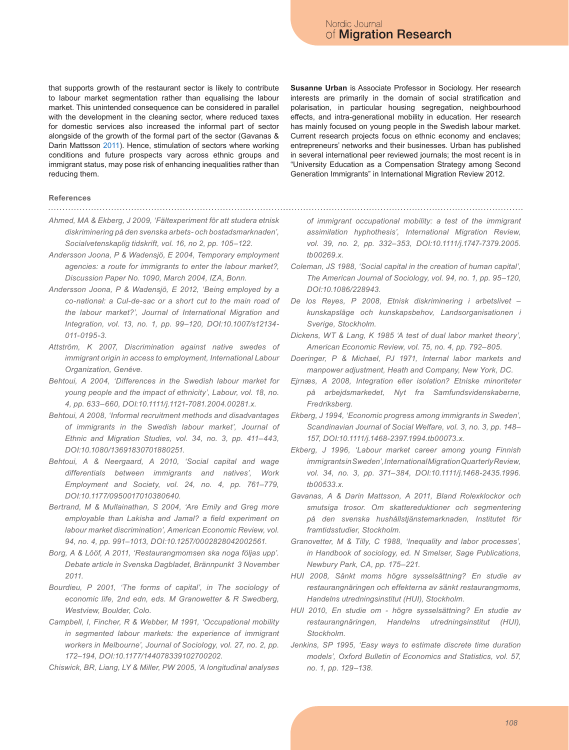that supports growth of the restaurant sector is likely to contribute to labour market segmentation rather than equalising the labour market. This unintended consequence can be considered in parallel with the development in the cleaning sector, where reduced taxes for domestic services also increased the informal part of sector alongside of the growth of the formal part of the sector (Gavanas & Darin Mattsson 2011). Hence, stimulation of sectors where working conditions and future prospects vary across ethnic groups and immigrant status, may pose risk of enhancing inequalities rather than reducing them.

**Susanne Urban** is Associate Professor in Sociology. Her research interests are primarily in the domain of social stratification and polarisation, in particular housing segregation, neighbourhood effects, and intra-generational mobility in education. Her research has mainly focused on young people in the Swedish labour market. Current research projects focus on ethnic economy and enclaves; entrepreneurs' networks and their businesses. Urban has published in several international peer reviewed journals; the most recent is in "University Education as a Compensation Strategy among Second Generation Immigrants" in International Migration Review 2012.

**References**

- *Ahmed, MA & Ekberg, J 2009, 'Fältexperiment för att studera etnisk diskriminering på den svenska arbets- och bostadsmarknaden', Socialvetenskaplig tidskrift, vol. 16, no 2, pp. 105–122.*
- *Andersson Joona, P & Wadensjö, E 2004, Temporary employment agencies: a route for immigrants to enter the labour market?, Discussion Paper No. 1090, March 2004, IZA, Bonn.*
- *Andersson Joona, P & Wadensjö, E 2012, 'Being employed by a co-national: a Cul-de-sac or a short cut to the main road of the labour market?', Journal of International Migration and Integration, vol. 13, no. 1, pp. 99–120, DOI:10.1007/s12134- 011-0195-3.*
- *Attström, K 2007, Discrimination against native swedes of immigrant origin in access to employment, International Labour Organization, Genéve.*
- *Behtoui, A 2004, 'Differences in the Swedish labour market for young people and the impact of ethnicity', Labour, vol. 18, no. 4, pp. 633–660, DOI:10.1111/j.1121-7081.2004.00281.x.*
- *Behtoui, A 2008, 'Informal recruitment methods and disadvantages of immigrants in the Swedish labour market', Journal of Ethnic and Migration Studies, vol. 34, no. 3, pp. 411–443, DOI:10.1080/13691830701880251.*
- *Behtoui, A & Neergaard, A 2010, 'Social capital and wage differentials between immigrants and natives', Work Employment and Society, vol. 24, no. 4, pp. 761–779, DOI:10.1177/0950017010380640.*
- *Bertrand, M & Mullainathan, S 2004, 'Are Emily and Greg more employable than Lakisha and Jamal? a field experiment on labour market discrimination', American Economic Review, vol. 94, no. 4, pp. 991–1013, DOI:10.1257/0002828042002561.*
- *Borg, A & Lööf, A 2011, 'Restaurangmomsen ska noga följas upp'. Debate article in Svenska Dagbladet, Brännpunkt 3 November 2011.*
- *Bourdieu, P 2001, 'The forms of capital', in The sociology of economic life, 2nd edn, eds. M Granowetter & R Swedberg, Westview, Boulder, Colo.*
- *Campbell, I, Fincher, R & Webber, M 1991, 'Occupational mobility in segmented labour markets: the experience of immigrant workers in Melbourne', Journal of Sociology, vol. 27, no. 2, pp. 172–194, DOI:10.1177/144078339102700202.*

*Chiswick, BR, Liang, LY & Miller, PW 2005, 'A longitudinal analyses* 

*of immigrant occupational mobility: a test of the immigrant assimilation hyphothesis', International Migration Review, vol. 39, no. 2, pp. 332–353, DOI:10.1111/j.1747-7379.2005. tb00269.x.*

- *Coleman, JS 1988, 'Social capital in the creation of human capital', The American Journal of Sociology, vol. 94, no. 1, pp. 95–120, DOI:10.1086/228943.*
- *De los Reyes, P 2008, Etnisk diskriminering i arbetslivet kunskapsläge och kunskapsbehov, Landsorganisationen i Sverige, Stockholm.*
- *Dickens, WT & Lang, K 1985 'A test of dual labor market theory', American Economic Review, vol. 75, no. 4, pp. 792–805.*
- *Doeringer, P & Michael, PJ 1971, Internal labor markets and manpower adjustment, Heath and Company, New York, DC.*
- *Ejrnæs, A 2008, Integration eller isolation? Etniske minoriteter på arbejdsmarkedet, Nyt fra Samfundsvidenskaberne, Fredriksberg.*
- *Ekberg, J 1994, 'Economic progress among immigrants in Sweden', Scandinavian Journal of Social Welfare, vol. 3, no. 3, pp. 148– 157, DOI:10.1111/j.1468-2397.1994.tb00073.x.*
- *Ekberg, J 1996, 'Labour market career among young Finnish immigrants in Sweden', International Migration Quarterly Review, vol. 34, no. 3, pp. 371–384, DOI:10.1111/j.1468‑2435.1996. tb00533.x.*
- *Gavanas, A & Darin Mattsson, A 2011, Bland Rolexklockor och smutsiga trosor. Om skattereduktioner och segmentering på den svenska hushållstjänstemarknaden, Institutet för framtidsstudier, Stockholm.*
- *Granovetter, M & Tilly, C 1988, 'Inequality and labor processes', in Handbook of sociology, ed. N Smelser, Sage Publications, Newbury Park, CA, pp. 175–221.*
- *HUI 2008, Sänkt moms högre sysselsättning? En studie av restaurangnäringen och effekterna av sänkt restaurangmoms, Handelns utredningsinstitut (HUI), Stockholm.*
- *HUI 2010, En studie om högre sysselsättning? En studie av restaurangnäringen, Handelns utredningsinstitut (HUI), Stockholm.*
- *Jenkins, SP 1995, 'Easy ways to estimate discrete time duration models', Oxford Bulletin of Economics and Statistics, vol. 57, no. 1, pp. 129–138.*